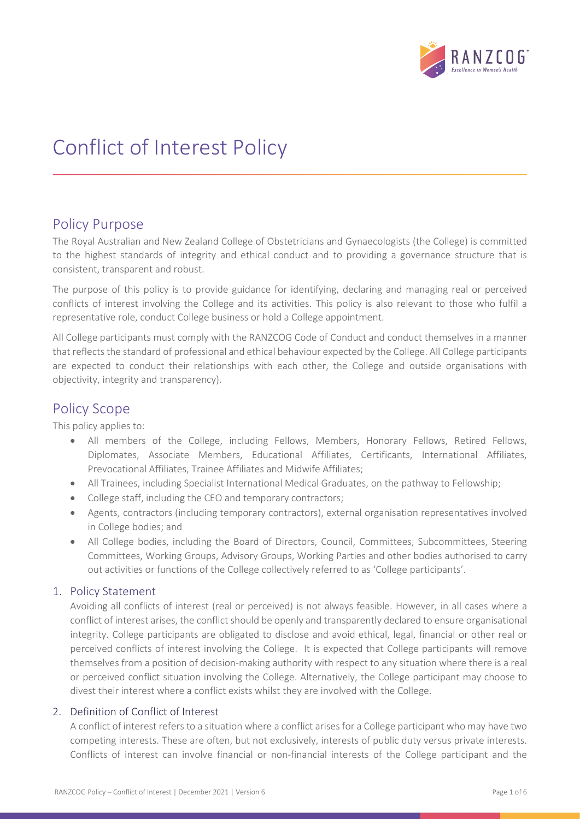

# Conflict of Interest Policy

## Policy Purpose

The Royal Australian and New Zealand College of Obstetricians and Gynaecologists (the College) is committed to the highest standards of integrity and ethical conduct and to providing a governance structure that is consistent, transparent and robust.

The purpose of this policy is to provide guidance for identifying, declaring and managing real or perceived conflicts of interest involving the College and its activities. This policy is also relevant to those who fulfil a representative role, conduct College business or hold a College appointment.

All College participants must comply with the RANZCOG Code of Conduct and conduct themselves in a manner that reflects the standard of professional and ethical behaviour expected by the College. All College participants are expected to conduct their relationships with each other, the College and outside organisations with objectivity, integrity and transparency).

# Policy Scope

This policy applies to:

- All members of the College, including Fellows, Members, Honorary Fellows, Retired Fellows, Diplomates, Associate Members, Educational Affiliates, Certificants, International Affiliates, Prevocational Affiliates, Trainee Affiliates and Midwife Affiliates;
- All Trainees, including Specialist International Medical Graduates, on the pathway to Fellowship;
- College staff, including the CEO and temporary contractors;
- Agents, contractors (including temporary contractors), external organisation representatives involved in College bodies; and
- All College bodies, including the Board of Directors, Council, Committees, Subcommittees, Steering Committees, Working Groups, Advisory Groups, Working Parties and other bodies authorised to carry out activities or functions of the College collectively referred to as 'College participants'.

## 1. Policy Statement

Avoiding all conflicts of interest (real or perceived) is not always feasible. However, in all cases where a conflict of interest arises, the conflict should be openly and transparently declared to ensure organisational integrity. College participants are obligated to disclose and avoid ethical, legal, financial or other real or perceived conflicts of interest involving the College. It is expected that College participants will remove themselves from a position of decision-making authority with respect to any situation where there is a real or perceived conflict situation involving the College. Alternatively, the College participant may choose to divest their interest where a conflict exists whilst they are involved with the College.

## 2. Definition of Conflict of Interest

A conflict of interest refers to a situation where a conflict arises for a College participant who may have two competing interests. These are often, but not exclusively, interests of public duty versus private interests. Conflicts of interest can involve financial or non-financial interests of the College participant and the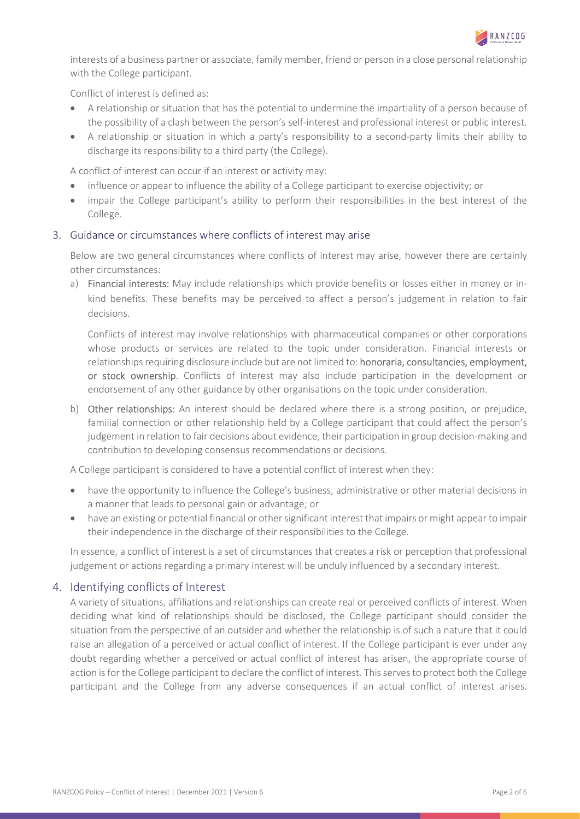

interests of a business partner or associate, family member, friend or person in a close personal relationship with the College participant.

Conflict of interest is defined as:

- A relationship or situation that has the potential to undermine the impartiality of a person because of the possibility of a clash between the person's self-interest and professional interest or public interest.
- A relationship or situation in which a party's responsibility to a second-party limits their ability to discharge its responsibility to a third party (the College).

A conflict of interest can occur if an interest or activity may:

- influence or appear to influence the ability of a College participant to exercise objectivity; or
- impair the College participant's ability to perform their responsibilities in the best interest of the College.

### 3. Guidance or circumstances where conflicts of interest may arise

Below are two general circumstances where conflicts of interest may arise, however there are certainly other circumstances:

a) Financial interests: May include relationships which provide benefits or losses either in money or inkind benefits. These benefits may be perceived to affect a person's judgement in relation to fair decisions.

Conflicts of interest may involve relationships with pharmaceutical companies or other corporations whose products or services are related to the topic under consideration. Financial interests or relationships requiring disclosure include but are not limited to: honoraria, consultancies, employment, or stock ownership. Conflicts of interest may also include participation in the development or endorsement of any other guidance by other organisations on the topic under consideration.

b) Other relationships: An interest should be declared where there is a strong position, or prejudice, familial connection or other relationship held by a College participant that could affect the person's judgement in relation to fair decisions about evidence, their participation in group decision-making and contribution to developing consensus recommendations or decisions.

A College participant is considered to have a potential conflict of interest when they:

- have the opportunity to influence the College's business, administrative or other material decisions in a manner that leads to personal gain or advantage; or
- have an existing or potential financial or other significant interest that impairs or might appear to impair their independence in the discharge of their responsibilities to the College.

In essence, a conflict of interest is a set of circumstances that creates a risk or perception that professional judgement or actions regarding a primary interest will be unduly influenced by a secondary interest.

## 4. Identifying conflicts of Interest

A variety of situations, affiliations and relationships can create real or perceived conflicts of interest. When deciding what kind of relationships should be disclosed, the College participant should consider the situation from the perspective of an outsider and whether the relationship is of such a nature that it could raise an allegation of a perceived or actual conflict of interest. If the College participant is ever under any doubt regarding whether a perceived or actual conflict of interest has arisen, the appropriate course of action is for the College participant to declare the conflict of interest. This serves to protect both the College participant and the College from any adverse consequences if an actual conflict of interest arises.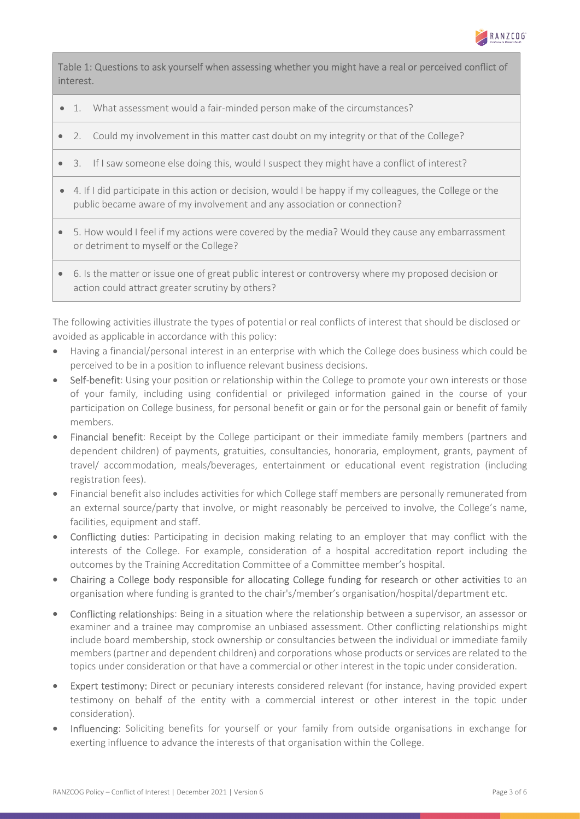

Table 1: Questions to ask yourself when assessing whether you might have a real or perceived conflict of interest.

- 1. What assessment would a fair-minded person make of the circumstances?
- 2. Could my involvement in this matter cast doubt on my integrity or that of the College?
- 3. If I saw someone else doing this, would I suspect they might have a conflict of interest?
- 4. If I did participate in this action or decision, would I be happy if my colleagues, the College or the public became aware of my involvement and any association or connection?
- 5. How would I feel if my actions were covered by the media? Would they cause any embarrassment or detriment to myself or the College?
- 6. Is the matter or issue one of great public interest or controversy where my proposed decision or action could attract greater scrutiny by others?

The following activities illustrate the types of potential or real conflicts of interest that should be disclosed or avoided as applicable in accordance with this policy:

- Having a financial/personal interest in an enterprise with which the College does business which could be perceived to be in a position to influence relevant business decisions.
- Self-benefit: Using your position or relationship within the College to promote your own interests or those of your family, including using confidential or privileged information gained in the course of your participation on College business, for personal benefit or gain or for the personal gain or benefit of family members.
- Financial benefit: Receipt by the College participant or their immediate family members (partners and dependent children) of payments, gratuities, consultancies, honoraria, employment, grants, payment of travel/ accommodation, meals/beverages, entertainment or educational event registration (including registration fees).
- Financial benefit also includes activities for which College staff members are personally remunerated from an external source/party that involve, or might reasonably be perceived to involve, the College's name, facilities, equipment and staff.
- Conflicting duties: Participating in decision making relating to an employer that may conflict with the interests of the College. For example, consideration of a hospital accreditation report including the outcomes by the Training Accreditation Committee of a Committee member's hospital.
- Chairing a College body responsible for allocating College funding for research or other activities to an organisation where funding is granted to the chair's/member's organisation/hospital/department etc.
- Conflicting relationships: Being in a situation where the relationship between a supervisor, an assessor or examiner and a trainee may compromise an unbiased assessment. Other conflicting relationships might include board membership, stock ownership or consultancies between the individual or immediate family members (partner and dependent children) and corporations whose products or services are related to the topics under consideration or that have a commercial or other interest in the topic under consideration.
- Expert testimony: Direct or pecuniary interests considered relevant (for instance, having provided expert testimony on behalf of the entity with a commercial interest or other interest in the topic under consideration).
- Influencing: Soliciting benefits for yourself or your family from outside organisations in exchange for exerting influence to advance the interests of that organisation within the College.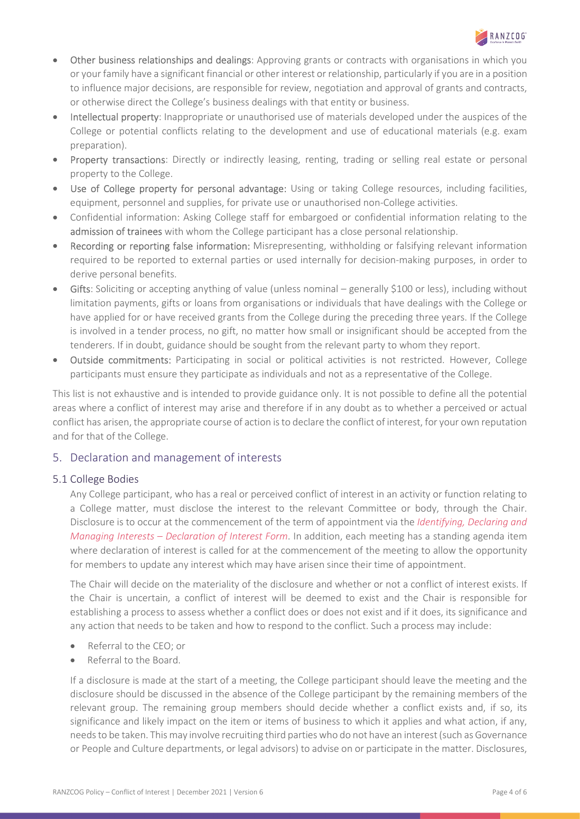

- Other business relationships and dealings: Approving grants or contracts with organisations in which you or your family have a significant financial or other interest or relationship, particularly if you are in a position to influence major decisions, are responsible for review, negotiation and approval of grants and contracts, or otherwise direct the College's business dealings with that entity or business.
- Intellectual property: Inappropriate or unauthorised use of materials developed under the auspices of the College or potential conflicts relating to the development and use of educational materials (e.g. exam preparation).
- Property transactions: Directly or indirectly leasing, renting, trading or selling real estate or personal property to the College.
- Use of College property for personal advantage: Using or taking College resources, including facilities, equipment, personnel and supplies, for private use or unauthorised non-College activities.
- Confidential information: Asking College staff for embargoed or confidential information relating to the admission of trainees with whom the College participant has a close personal relationship.
- Recording or reporting false information: Misrepresenting, withholding or falsifying relevant information required to be reported to external parties or used internally for decision-making purposes, in order to derive personal benefits.
- Gifts: Soliciting or accepting anything of value (unless nominal generally \$100 or less), including without limitation payments, gifts or loans from organisations or individuals that have dealings with the College or have applied for or have received grants from the College during the preceding three years. If the College is involved in a tender process, no gift, no matter how small or insignificant should be accepted from the tenderers. If in doubt, guidance should be sought from the relevant party to whom they report.
- Outside commitments: Participating in social or political activities is not restricted. However, College participants must ensure they participate as individuals and not as a representative of the College.

This list is not exhaustive and is intended to provide guidance only. It is not possible to define all the potential areas where a conflict of interest may arise and therefore if in any doubt as to whether a perceived or actual conflict has arisen, the appropriate course of action is to declare the conflict of interest, for your own reputation and for that of the College.

## 5. Declaration and management of interests

## 5.1 College Bodies

Any College participant, who has a real or perceived conflict of interest in an activity or function relating to a College matter, must disclose the interest to the relevant Committee or body, through the Chair. Disclosure is to occur at the commencement of the term of appointment via the Identifying, Declaring and Managing Interests - Declaration of Interest Form. In addition, each meeting has a standing agenda item where declaration of interest is called for at the commencement of the meeting to allow the opportunity for members to update any interest which may have arisen since their time of appointment.

The Chair will decide on the materiality of the disclosure and whether or not a conflict of interest exists. If the Chair is uncertain, a conflict of interest will be deemed to exist and the Chair is responsible for establishing a process to assess whether a conflict does or does not exist and if it does, its significance and any action that needs to be taken and how to respond to the conflict. Such a process may include:

- Referral to the CEO; or
- Referral to the Board.

If a disclosure is made at the start of a meeting, the College participant should leave the meeting and the disclosure should be discussed in the absence of the College participant by the remaining members of the relevant group. The remaining group members should decide whether a conflict exists and, if so, its significance and likely impact on the item or items of business to which it applies and what action, if any, needs to be taken. This may involve recruiting third parties who do not have an interest (such as Governance or People and Culture departments, or legal advisors) to advise on or participate in the matter. Disclosures,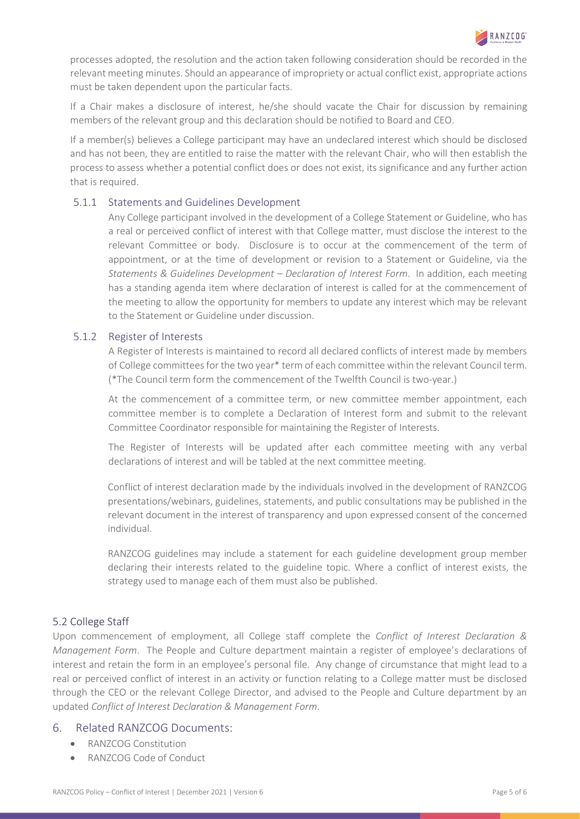

processes adopted, the resolution and the action taken following consideration should be recorded in the relevant meeting minutes. Should an appearance of impropriety or actual conflict exist, appropriate actions must be taken dependent upon the particular facts.

If a Chair makes a disclosure of interest, he/she should vacate the Chair for discussion by remaining members of the relevant group and this declaration should be notified to Board and CEO.

If a member(s) believes a College participant may have an undeclared interest which should be disclosed and has not been, they are entitled to raise the matter with the relevant Chair, who will then establish the process to assess whether a potential conflict does or does not exist, its significance and any further action that is required.

#### 5.1.1 Statements and Guidelines Development

Any College participant involved in the development of a College Statement or Guideline, who has a real or perceived conflict of interest with that College matter, must disclose the interest to the relevant Committee or body. Disclosure is to occur at the commencement of the term of appointment, or at the time of development or revision to a Statement or Guideline, via the Statements & Guidelines Development – Declaration of Interest Form. In addition, each meeting has a standing agenda item where declaration of interest is called for at the commencement of the meeting to allow the opportunity for members to update any interest which may be relevant to the Statement or Guideline under discussion.

#### 5.1.2 Register of Interests

A Register of Interests is maintained to record all declared conflicts of interest made by members of College committees for the two year\* term of each committee within the relevant Council term. (\*The Council term form the commencement of the Twelfth Council is two-year.)

At the commencement of a committee term, or new committee member appointment, each committee member is to complete a Declaration of Interest form and submit to the relevant Committee Coordinator responsible for maintaining the Register of Interests.

The Register of Interests will be updated after each committee meeting with any verbal declarations of interest and will be tabled at the next committee meeting.

Conflict of interest declaration made by the individuals involved in the development of RANZCOG presentations/webinars, guidelines, statements, and public consultations may be published in the relevant document in the interest of transparency and upon expressed consent of the concerned individual.

RANZCOG guidelines may include a statement for each guideline development group member declaring their interests related to the guideline topic. Where a conflict of interest exists, the strategy used to manage each of them must also be published.

## 5.2 College Staff

Upon commencement of employment, all College staff complete the Conflict of Interest Declaration & Management Form. The People and Culture department maintain a register of employee's declarations of interest and retain the form in an employee's personal file. Any change of circumstance that might lead to a real or perceived conflict of interest in an activity or function relating to a College matter must be disclosed through the CEO or the relevant College Director, and advised to the People and Culture department by an updated Conflict of Interest Declaration & Management Form.

## 6. Related RANZCOG Documents:

- RANZCOG Constitution
- RANZCOG Code of Conduct